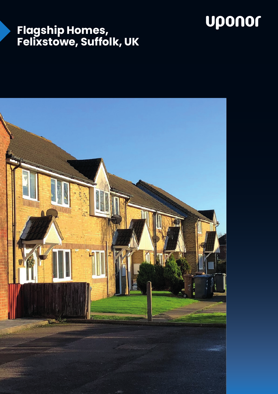# uponor

### **Flagship Homes, Felixstowe, Suffolk, UK**

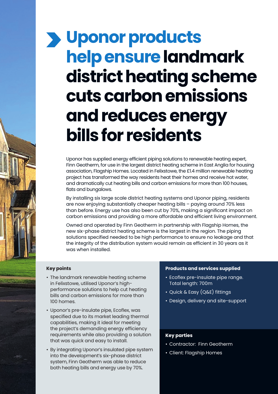# **Uponor products help ensure landmark district heating scheme cuts carbon emissions and reduces energy bills for residents**

Uponor has supplied energy efficient piping solutions to renewable heating expert, Finn Geotherm, for use in the largest district heating scheme in East Anglia for housing association, Flagship Homes. Located in Felixstowe, the £1.4 million renewable heating project has transformed the way residents heat their homes and receive hot water, and dramatically cut heating bills and carbon emissions for more than 100 houses, flats and bungalows.

By installing six large scale district heating systems and Uponor piping, residents are now enjoying substantially cheaper heating bills – paying around 70% less than before. Energy use has also been cut by 70%, making a significant impact on carbon emissions and providing a more affordable and efficient living environment.

Owned and operated by Finn Geotherm in partnership with Flagship Homes, the new six-phase district heating scheme is the largest in the region. The piping solutions specified needed to be high performance to ensure no leakage and that the integrity of the distribution system would remain as efficient in 30 years as it was when installed.

#### **Key points**

- The landmark renewable heating scheme in Felixstowe, utilised Uponor's highperformance solutions to help cut heating bills and carbon emissions for more than 100 homes.
- Uponor's pre-insulate pipe, Ecoflex, was specified due to its market leading thermal capabilities, making it ideal for meeting the project's demanding energy efficiency requirements while also providing a solution that was quick and easy to install.
- By integrating Uponor's insulated pipe system into the development's six-phase district system, Finn Geotherm was able to reduce both heating bills and energy use by 70%.

#### **Products and services supplied**

- Ecoflex pre-insulate pipe range. Total length: 700m
- Quick & Easy (Q&E) fittings
- Design, delivery and site-support

#### **Key parties**

- Contractor: Finn Geotherm
- Client: Flagship Homes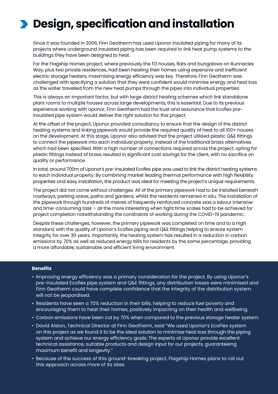## **Design, specification and installation**

Since it was founded in 2006, Finn Geotherm has used Uponor insulated piping for many of its projects where underground insulated piping has been required to link heat pump systems to the buildings they have been designed to heat.

For the Flagship Homes project, where previously the 113 houses, flats and bungalows on Runnacles Way, plus two private residences, had been heating their homes using expensive and inefficient electric storage heaters, maximising energy efficiency was key. Therefore, Finn Geotherm was challenged with specifying a solution that they were confident would minimise energy and heat loss as the water travelled from the new heat pumps through the pipes into individual properties.

This is always an important factor, but with large district heating schemes which link standalone plant rooms to multiple houses across large developments, this is essential. Due to its previous experience working with Uponor, Finn Geotherm had the trust and assurance that Ecoflex preinsulated pipe system would deliver the right solution for this project.

At the offset of the project, Uponor provided consultancy to ensure that the design of the district heating systems and linking pipework would provide the required quality of heat to all 100+ houses on the development. At this stage, Uponor also advised that the project utilised plastic Q&E fittings to connect the pipework into each individual property, instead of the traditional brass alternatives which had been specified. With a high number of connections required across the project, opting for plastic fittings instead of brass resulted in significant cost savings for the client, with no sacrifice on quality or performance.

In total, around 700m of Uponor's pre-insulated Ecoflex pipe was used to link the district heating systems to each individual property. By combining market leading thermal performance with high flexibility properties and easy installation, the product was ideal for meeting the project's unique requirements.

The project did not come without challenges. All of the primary pipework had to be installed beneath roadways, parking areas, paths and gardens, whilst the residents remained in situ. The installation of the pipework through hundreds of metres of frequently reinforced concrete was a labour intensive and time-consuming task – all the more interesting when tight time scales had to be achieved for project completion notwithstanding the constraints of working during the COVID-19 pandemic.

Despite these challenges, however, the primary pipework was completed on time and to a high standard, with the quality of Uponor's Ecoflex piping and Q&E fittings helping to ensure system integrity for over 30 years. Importantly, the heating system has resulted in a reduction in carbon emissions by 70% as well as reduced energy bills for residents by the same percentage, providing a more affordable, sustainable and efficient living environment.

#### **Benefits**

- Improving energy efficiency was a primary consideration for the project. By using Uponor's pre-insulated Ecoflex pipe system and Q&E fittings, any distribution losses were minimised and Finn Geotherm could have complete confidence that the integrity of the distribution system will not be jeopardised.
- Residents have seen a 70% reduction in their bills, helping to reduce fuel poverty and encouraging them to heat their homes, positively impacting on their health and wellbeing.
- Carbon emissions have been cut by 70% when compared to the previous storage heater system.
- David Alston, Technical Director at Finn Geotherm, said "We used Uponor's EcoFlex system on this project as we found it to be the ideal solution to minimise heat loss through the piping system and achieve our energy efficiency goals. The experts at Uponor provide excellent technical assistance, suitable products and design input for our projects, guaranteeing maximum benefit and longevity."
- Because of the success of this ground-breaking project, Flagship Homes plans to roll out this approach across more of its sites.